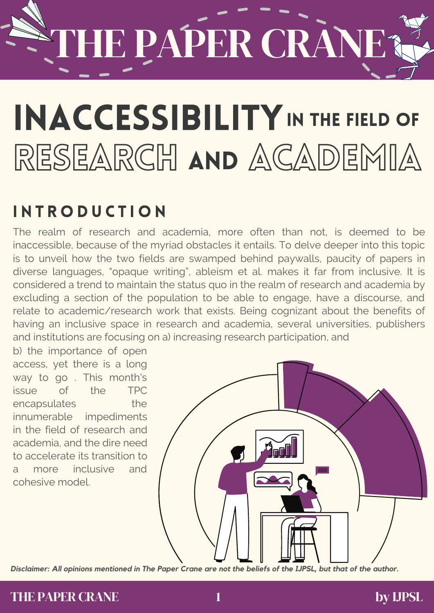### THE PAPER CRANE?

### RESEARCH AND ACADEMIA INACCESSIBILITY IN THE FIELD OF

### **INTRODUCTION**

The realm of research and academia, more often than not, is deemed to be inaccessible, because of the myriad obstacles it entails. To delve deeper into this topic is to unveil how the two fields are swamped behind paywalls, paucity of papers in diverse languages, "opaque writing", ableism et al. makes it far from inclusive. It is considered a trend to maintain the status quo in the realm of research and academia by excluding a section of the population to be able to engage, have a discourse, and relate to academic/research work that exists. Being cognizant about the benefits of having an inclusive space in research and academia, several universities, publishers and institutions are focusing on a) increasing research participation, and

b) the importance of open access, yet there is a long way to go . This month's issue of the TPC encapsulates the innumerable impediments in the field of research and academia, and the dire need to accelerate its transition to a more inclusive and cohesive model.



Disclaimer: All opinions mentioned in The Paper Crane are not the beliefs of the IJPSL, but that of the author.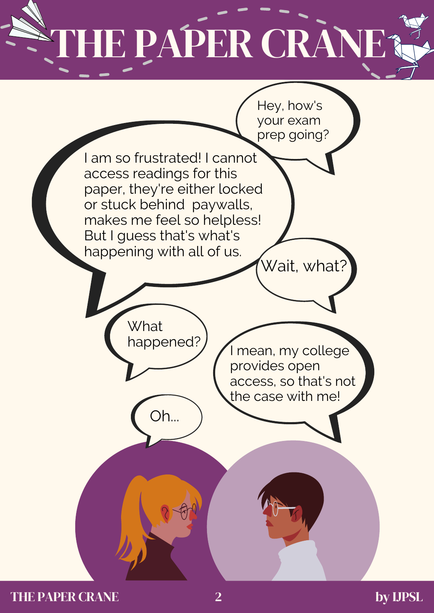### HE PAPER CRANE?



THE PAPER CRANE by UPSL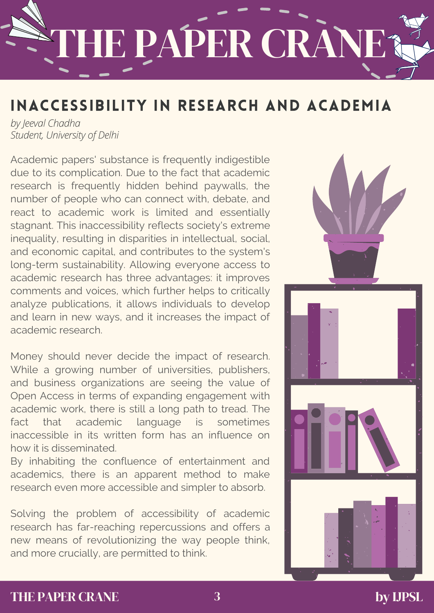# HE PAPER CRANE?

### INACCESSIBILITY IN RESEARCH AND ACADEMIA

*by Jeeval Chadha Student, University of Delhi*

Academic papers' substance is frequently indigestible due to its complication. Due to the fact that academic research is frequently hidden behind paywalls, the number of people who can connect with, debate, and react to academic work is limited and essentially stagnant. This inaccessibility reflects society's extreme inequality, resulting in disparities in intellectual, social, and economic capital, and contributes to the system's long-term sustainability. Allowing everyone access to academic research has three advantages: it improves comments and voices, which further helps to critically analyze publications, it allows individuals to develop and learn in new ways, and it increases the impact of academic research.

Money should never decide the impact of research. While a growing number of universities, publishers, and business organizations are seeing the value of Open Access in terms of expanding engagement with academic work, there is still a long path to tread. The fact that academic language is sometimes inaccessible in its written form has an influence on how it is disseminated.

By inhabiting the confluence of entertainment and academics, there is an apparent method to make research even more accessible and simpler to absorb.

Solving the problem of accessibility of academic research has far-reaching repercussions and offers a new means of revolutionizing the way people think, and more crucially, are permitted to think.



#### THE PAPER CRANE **by IJPSL**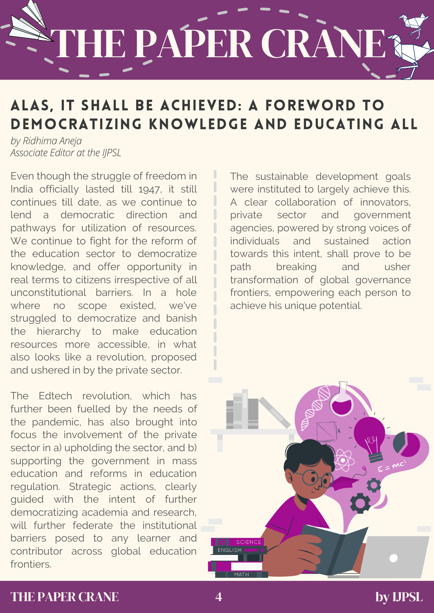# HE PAPER CRANE?

### ALAS, IT SHALL BE ACHIEVED: A FOREWORD TO DEMOCRATIZING KNOWLEDGE AND EDUCATING ALL

*by Ridhima Aneja Associate Editor at the IJPSL*

Even though the struggle of freedom in India officially lasted till 1947, it still continues till date, as we continue to lend a democratic direction and pathways for utilization of resources. We continue to fight for the reform of the education sector to democratize knowledge, and offer opportunity in real terms to citizens irrespective of all unconstitutional barriers. In a hole where no scope existed, we've struggled to democratize and banish the hierarchy to make education resources more accessible, in what also looks like a revolution, proposed and ushered in by the private sector.

The Edtech revolution, which has further been fuelled by the needs of the pandemic, has also brought into focus the involvement of the private sector in a) upholding the sector, and b) supporting the government in mass education and reforms in education regulation. Strategic actions, clearly guided with the intent of further democratizing academia and research, will further federate the institutional barriers posed to any learner and contributor across global education **frontiers** 

The sustainable development goals were instituted to largely achieve this. A clear collaboration of innovators, private sector and government agencies, powered by strong voices of individuals and sustained action towards this intent, shall prove to be path breaking and usher transformation of global governance frontiers, empowering each person to achieve his unique potential.



#### THE PAPER CRANE by UPSL